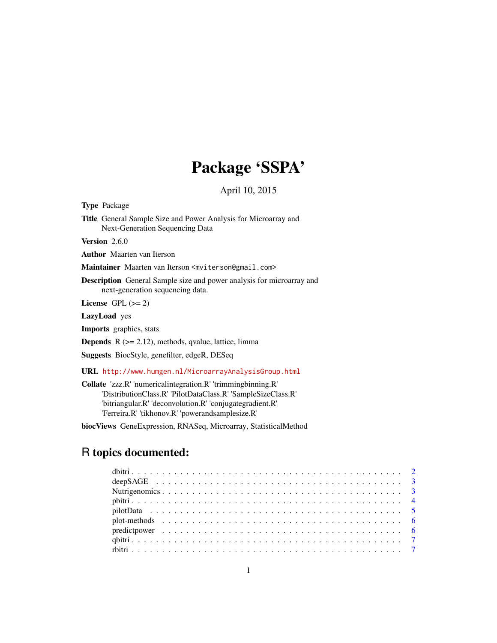# Package 'SSPA'

April 10, 2015

<span id="page-0-0"></span>Type Package

Title General Sample Size and Power Analysis for Microarray and Next-Generation Sequencing Data

Version 2.6.0

Author Maarten van Iterson

Maintainer Maarten van Iterson <mviterson@gmail.com>

Description General Sample size and power analysis for microarray and next-generation sequencing data.

License GPL  $(>= 2)$ 

LazyLoad yes

Imports graphics, stats

**Depends**  $R$  ( $>= 2.12$ ), methods, qvalue, lattice, limma

Suggests BiocStyle, genefilter, edgeR, DESeq

URL <http://www.humgen.nl/MicroarrayAnalysisGroup.html>

Collate 'zzz.R' 'numericalintegration.R' 'trimmingbinning.R' 'DistributionClass.R' 'PilotDataClass.R' 'SampleSizeClass.R' 'bitriangular.R' 'deconvolution.R' 'conjugategradient.R' 'Ferreira.R' 'tikhonov.R' 'powerandsamplesize.R'

biocViews GeneExpression, RNASeq, Microarray, StatisticalMethod

# R topics documented: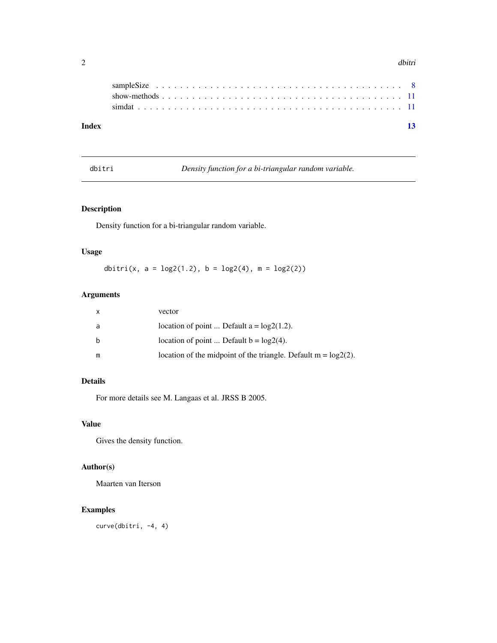#### <span id="page-1-0"></span> $2 \,$  dbitri

| Index |  |  |  |  |  |  |  |  |  |  |  |  |  |  |  |  |  |  | 13 |
|-------|--|--|--|--|--|--|--|--|--|--|--|--|--|--|--|--|--|--|----|
|       |  |  |  |  |  |  |  |  |  |  |  |  |  |  |  |  |  |  |    |
|       |  |  |  |  |  |  |  |  |  |  |  |  |  |  |  |  |  |  |    |
|       |  |  |  |  |  |  |  |  |  |  |  |  |  |  |  |  |  |  |    |
|       |  |  |  |  |  |  |  |  |  |  |  |  |  |  |  |  |  |  |    |

dbitri *Density function for a bi-triangular random variable.*

# Description

Density function for a bi-triangular random variable.

# Usage

dbitri(x,  $a = \log(1.2)$ ,  $b = \log(4)$ ,  $m = \log(2)$ )

# Arguments

| $\mathsf{x}$ | vector                                                            |
|--------------|-------------------------------------------------------------------|
| a            | location of point  Default $a = log2(1.2)$ .                      |
| b            | location of point  Default $b = log2(4)$ .                        |
| m            | location of the midpoint of the triangle. Default $m = log2(2)$ . |

# Details

For more details see M. Langaas et al. JRSS B 2005.

# Value

Gives the density function.

# Author(s)

Maarten van Iterson

# Examples

curve(dbitri, -4, 4)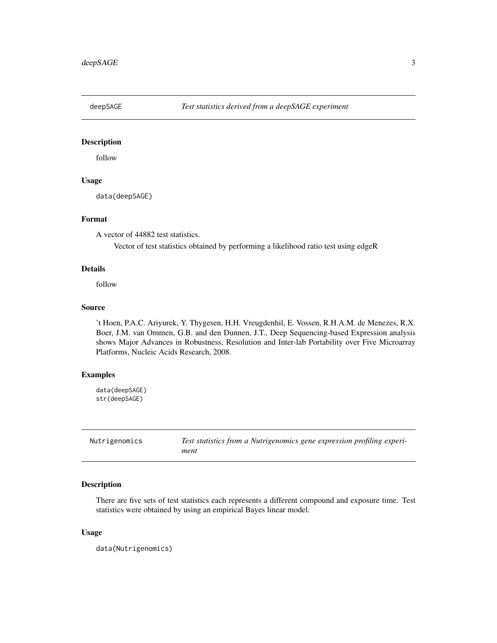<span id="page-2-0"></span>

# Description

follow

#### Usage

data(deepSAGE)

# Format

A vector of 44882 test statistics.

Vector of test statistics obtained by performing a likelihood ratio test using edgeR

### Details

follow

# Source

't Hoen, P.A.C. Ariyurek, Y. Thygesen, H.H. Vreugdenhil, E. Vossen, R.H.A.M. de Menezes, R.X. Boer, J.M. van Ommen, G.B. and den Dunnen, J.T., Deep Sequencing-based Expression analysis shows Major Advances in Robustness, Resolution and Inter-lab Portability over Five Microarray Platforms, Nucleic Acids Research, 2008.

# Examples

```
data(deepSAGE)
str(deepSAGE)
```

| Nutrigenomics |  |
|---------------|--|
|---------------|--|

Test statistics from a Nutrigenomics gene expression profiling experi*ment*

#### Description

There are five sets of test statistics each represents a different compound and exposure time. Test statistics were obtained by using an empirical Bayes linear model.

#### Usage

data(Nutrigenomics)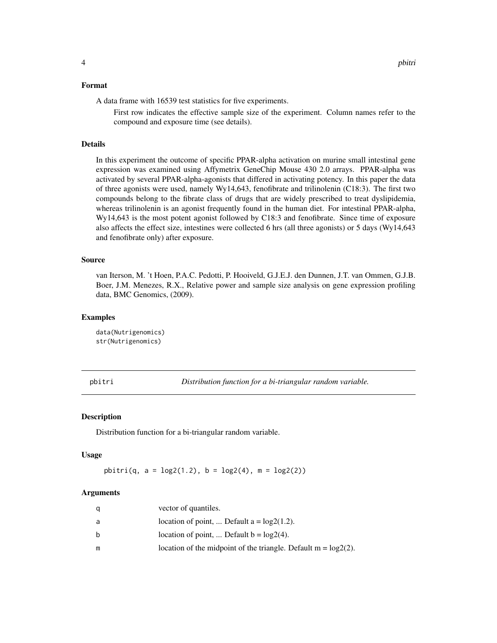#### <span id="page-3-0"></span>Format

A data frame with 16539 test statistics for five experiments.

First row indicates the effective sample size of the experiment. Column names refer to the compound and exposure time (see details).

# Details

In this experiment the outcome of specific PPAR-alpha activation on murine small intestinal gene expression was examined using Affymetrix GeneChip Mouse 430 2.0 arrays. PPAR-alpha was activated by several PPAR-alpha-agonists that differed in activating potency. In this paper the data of three agonists were used, namely Wy14,643, fenofibrate and trilinolenin (C18:3). The first two compounds belong to the fibrate class of drugs that are widely prescribed to treat dyslipidemia, whereas trilinolenin is an agonist frequently found in the human diet. For intestinal PPAR-alpha, Wy14,643 is the most potent agonist followed by C18:3 and fenofibrate. Since time of exposure also affects the effect size, intestines were collected 6 hrs (all three agonists) or 5 days (Wy14,643 and fenofibrate only) after exposure.

#### Source

van Iterson, M. 't Hoen, P.A.C. Pedotti, P. Hooiveld, G.J.E.J. den Dunnen, J.T. van Ommen, G.J.B. Boer, J.M. Menezes, R.X., Relative power and sample size analysis on gene expression profiling data, BMC Genomics, (2009).

#### Examples

data(Nutrigenomics) str(Nutrigenomics)

pbitri *Distribution function for a bi-triangular random variable.*

#### Description

Distribution function for a bi-triangular random variable.

#### Usage

pbitri(q,  $a = \log(1.2)$ ,  $b = \log(4)$ ,  $m = \log(2)$ )

#### Arguments

| a | vector of quantiles.                                              |
|---|-------------------------------------------------------------------|
| a | location of point,  Default $a = log2(1.2)$ .                     |
| b | location of point,  Default $b = log2(4)$ .                       |
| m | location of the midpoint of the triangle. Default $m = log2(2)$ . |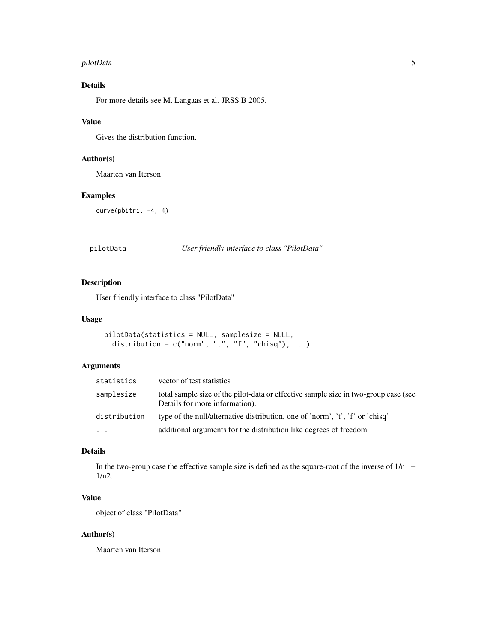#### <span id="page-4-0"></span>pilotData 5

# Details

For more details see M. Langaas et al. JRSS B 2005.

# Value

Gives the distribution function.

# Author(s)

Maarten van Iterson

# Examples

curve(pbitri, -4, 4)

#### pilotData *User friendly interface to class "PilotData"*

#### Description

User friendly interface to class "PilotData"

#### Usage

```
pilotData(statistics = NULL, samplesize = NULL,
  distribution = c("norm", "t", "f", "chisq"), ...
```
# Arguments

| statistics   | vector of test statistics                                                                                             |
|--------------|-----------------------------------------------------------------------------------------------------------------------|
| samplesize   | total sample size of the pilot-data or effective sample size in two-group case (see<br>Details for more information). |
| distribution | type of the null/alternative distribution, one of 'norm', 't', 'f' or 'chisq'                                         |
| .            | additional arguments for the distribution like degrees of freedom                                                     |

# Details

In the two-group case the effective sample size is defined as the square-root of the inverse of 1/n1 + 1/n2.

# Value

object of class "PilotData"

# Author(s)

Maarten van Iterson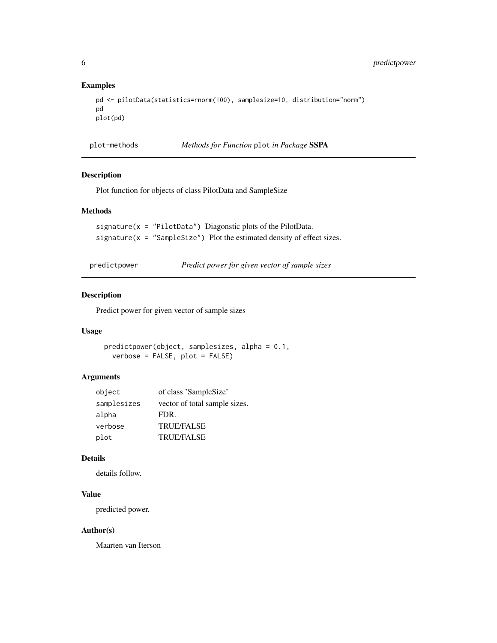#### Examples

```
pd <- pilotData(statistics=rnorm(100), samplesize=10, distribution="norm")
pd
plot(pd)
```
plot-methods *Methods for Function* plot *in Package* SSPA

# Description

Plot function for objects of class PilotData and SampleSize

# Methods

```
signature(x = "PilotData") Diagonstic plots of the PilotData.
signature(x = "SampleSize") Plot the estimated density of effect sizes.
```
predictpower *Predict power for given vector of sample sizes*

# Description

Predict power for given vector of sample sizes

# Usage

predictpower(object, samplesizes, alpha = 0.1, verbose = FALSE, plot = FALSE)

#### Arguments

| object      | of class 'SampleSize'         |
|-------------|-------------------------------|
| samplesizes | vector of total sample sizes. |
| alpha       | FDR.                          |
| verbose     | <b>TRUE/FALSE</b>             |
| plot        | <b>TRUE/FALSE</b>             |

#### Details

details follow.

# Value

predicted power.

### Author(s)

Maarten van Iterson

<span id="page-5-0"></span>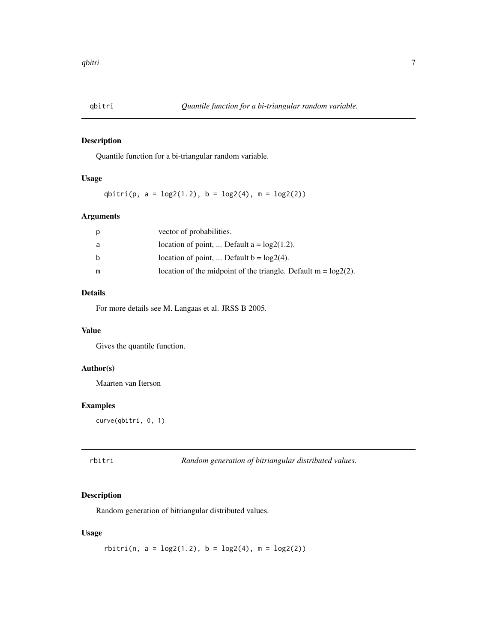<span id="page-6-0"></span>

# Description

Quantile function for a bi-triangular random variable.

# Usage

qbitri(p,  $a = \log(1.2)$ ,  $b = \log(4)$ ,  $m = \log(2)$ )

#### Arguments

| p | vector of probabilities.                                            |
|---|---------------------------------------------------------------------|
| a | location of point,  Default $a = log2(1.2)$ .                       |
| b | location of point,  Default $b = log2(4)$ .                         |
| m | location of the midpoint of the triangle. Default $m = log(2(2))$ . |

# Details

For more details see M. Langaas et al. JRSS B 2005.

# Value

Gives the quantile function.

# Author(s)

Maarten van Iterson

# Examples

curve(qbitri, 0, 1)

| rbitri | Random generation of bitriangular distributed values. |  |
|--------|-------------------------------------------------------|--|
|--------|-------------------------------------------------------|--|

# Description

Random generation of bitriangular distributed values.

# Usage

 $rbitri(n, a = log2(1.2), b = log2(4), m = log2(2))$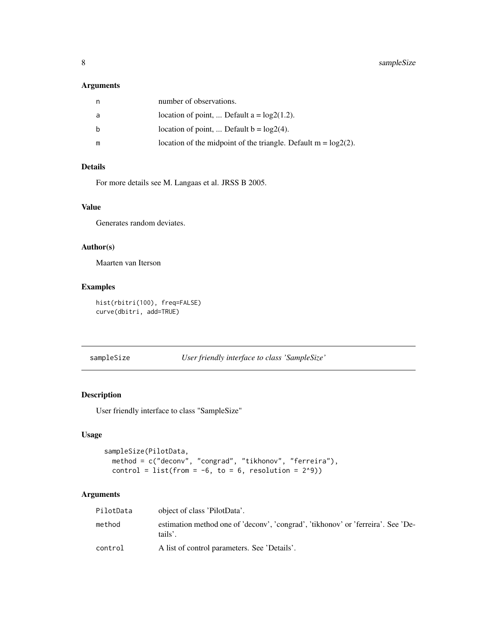# <span id="page-7-0"></span>Arguments

| n  | number of observations.                                           |
|----|-------------------------------------------------------------------|
| -a | location of point,  Default $a = log2(1.2)$ .                     |
| b  | location of point,  Default $b = log2(4)$ .                       |
| m  | location of the midpoint of the triangle. Default $m = log2(2)$ . |

# Details

For more details see M. Langaas et al. JRSS B 2005.

# Value

Generates random deviates.

#### Author(s)

Maarten van Iterson

# Examples

```
hist(rbitri(100), freq=FALSE)
curve(dbitri, add=TRUE)
```

```
sampleSize User friendly interface to class 'SampleSize'
```
# Description

User friendly interface to class "SampleSize"

#### Usage

```
sampleSize(PilotData,
 method = c("deconv", "congrad", "tikhonov", "ferreira"),
 control = list(from = -6, to = 6, resolution = 2^9))
```
# Arguments

| PilotData | object of class 'PilotData'.                                                                |
|-----------|---------------------------------------------------------------------------------------------|
| method    | estimation method one of 'deconv', 'congrad', 'tikhonov' or 'ferreira'. See 'De-<br>tails'. |
| control   | A list of control parameters. See 'Details'.                                                |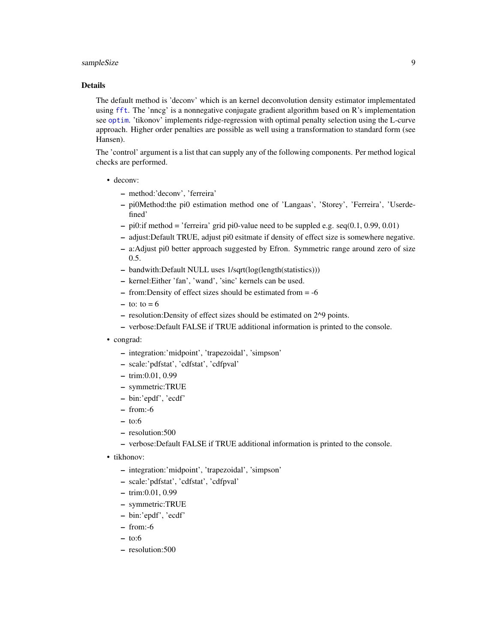# sampleSize 9

# Details

The default method is 'deconv' which is an kernel deconvolution density estimator implementated using [fft](#page-0-0). The 'nncg' is a nonnegative conjugate gradient algorithm based on R's implementation see [optim](#page-0-0). 'tikonov' implements ridge-regression with optimal penalty selection using the L-curve approach. Higher order penalties are possible as well using a transformation to standard form (see Hansen).

The 'control' argument is a list that can supply any of the following components. Per method logical checks are performed.

- deconv:
	- method:'deconv', 'ferreira'
	- pi0Method:the pi0 estimation method one of 'Langaas', 'Storey', 'Ferreira', 'Userdefined'
	- $-$  pi0:if method  $=$  'ferreira' grid pi0-value need to be suppled e.g. seq(0.1, 0.99, 0.01)
	- adjust:Default TRUE, adjust pi0 esitmate if density of effect size is somewhere negative.
	- a:Adjust pi0 better approach suggested by Efron. Symmetric range around zero of size 0.5.
	- bandwith:Default NULL uses 1/sqrt(log(length(statistics)))
	- kernel:Either 'fan', 'wand', 'sinc' kernels can be used.
	- from:Density of effect sizes should be estimated from = -6
	- $-$  to: to  $= 6$
	- resolution:Density of effect sizes should be estimated on 2^9 points.
	- verbose:Default FALSE if TRUE additional information is printed to the console.
- congrad:
	- integration:'midpoint', 'trapezoidal', 'simpson'
	- scale:'pdfstat', 'cdfstat', 'cdfpval'
	- trim:0.01, 0.99
	- symmetric:TRUE
	- bin:'epdf', 'ecdf'
	- from:-6
	- to:6
	- resolution:500
	- verbose:Default FALSE if TRUE additional information is printed to the console.
- tikhonov:
	- integration:'midpoint', 'trapezoidal', 'simpson'
	- scale:'pdfstat', 'cdfstat', 'cdfpval'
	- trim:0.01, 0.99
	- symmetric:TRUE
	- bin:'epdf', 'ecdf'
	- from:-6
	- $-$  to:6
	- resolution:500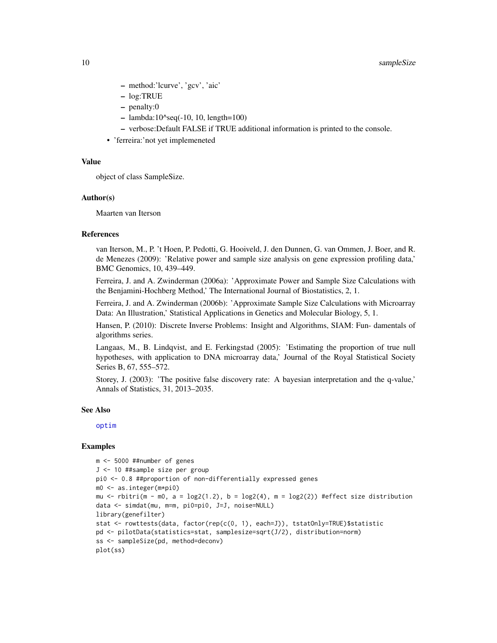- method:'lcurve', 'gcv', 'aic'
- log:TRUE
- penalty:0
- $-$  lambda:10^seq(-10, 10, length=100)
- verbose:Default FALSE if TRUE additional information is printed to the console.
- 'ferreira:'not yet implemeneted

# Value

object of class SampleSize.

#### Author(s)

Maarten van Iterson

#### References

van Iterson, M., P. 't Hoen, P. Pedotti, G. Hooiveld, J. den Dunnen, G. van Ommen, J. Boer, and R. de Menezes (2009): 'Relative power and sample size analysis on gene expression profiling data,' BMC Genomics, 10, 439–449.

Ferreira, J. and A. Zwinderman (2006a): 'Approximate Power and Sample Size Calculations with the Benjamini-Hochberg Method,' The International Journal of Biostatistics, 2, 1.

Ferreira, J. and A. Zwinderman (2006b): 'Approximate Sample Size Calculations with Microarray Data: An Illustration,' Statistical Applications in Genetics and Molecular Biology, 5, 1.

Hansen, P. (2010): Discrete Inverse Problems: Insight and Algorithms, SIAM: Fun- damentals of algorithms series.

Langaas, M., B. Lindqvist, and E. Ferkingstad (2005): 'Estimating the proportion of true null hypotheses, with application to DNA microarray data,' Journal of the Royal Statistical Society Series B, 67, 555–572.

Storey, J. (2003): 'The positive false discovery rate: A bayesian interpretation and the q-value,' Annals of Statistics, 31, 2013–2035.

#### See Also

[optim](#page-0-0)

#### Examples

```
m <- 5000 ##number of genes
J <- 10 ##sample size per group
pi0 <- 0.8 ##proportion of non-differentially expressed genes
m0 <- as.integer(m*pi0)
mu <- rbitri(m - m0, a = \log(1.2), b = \log(4), m = \log(2)) #effect size distribution
data <- simdat(mu, m=m, pi0=pi0, J=J, noise=NULL)
library(genefilter)
stat <- rowttests(data, factor(rep(c(0, 1), each=J)), tstatOnly=TRUE)$statistic
pd <- pilotData(statistics=stat, samplesize=sqrt(J/2), distribution=norm)
ss <- sampleSize(pd, method=deconv)
plot(ss)
```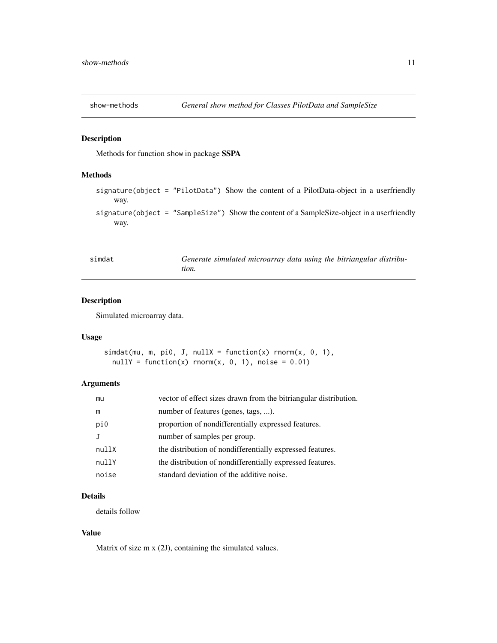<span id="page-10-0"></span>

# Description

Methods for function show in package SSPA

#### Methods

signature(object = "PilotData") Show the content of a PilotData-object in a userfriendly way.

signature(object = "SampleSize") Show the content of a SampleSize-object in a userfriendly way.

| simdat |       |  |  | Generate simulated microarray data using the bitriangular distribu- |  |
|--------|-------|--|--|---------------------------------------------------------------------|--|
|        | tion. |  |  |                                                                     |  |

# Description

Simulated microarray data.

#### Usage

```
simhat(mu, m, pi0, J, nullX = function(x) rnorm(x, 0, 1),nullY = function(x) rnorm(x, 0, 1), noise = 0.01)
```
# Arguments

| mu    | vector of effect sizes drawn from the bitriangular distribution. |
|-------|------------------------------------------------------------------|
| m     | number of features (genes, tags, ).                              |
| pi0   | proportion of nondifferentially expressed features.              |
|       | number of samples per group.                                     |
| nullX | the distribution of nondifferentially expressed features.        |
| nullY | the distribution of nondifferentially expressed features.        |
| noise | standard deviation of the additive noise.                        |

# Details

details follow

# Value

Matrix of size m x (2J), containing the simulated values.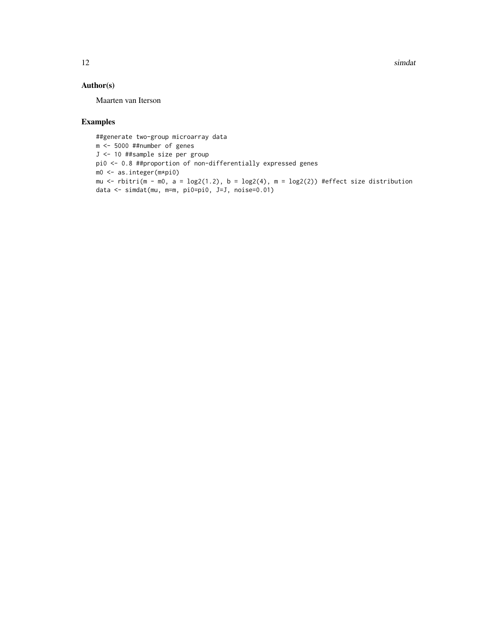12 simulation of the state of the state of the state of the state of the state of the state of the state of the state of the state of the state of the state of the state of the state of the state of the state of the state

# Author(s)

Maarten van Iterson

# Examples

##generate two-group microarray data m <- 5000 ##number of genes J <- 10 ##sample size per group pi0 <- 0.8 ##proportion of non-differentially expressed genes m0 <- as.integer(m\*pi0) mu <- rbitri(m - m0, a =  $\log(1.2)$ , b =  $\log(4)$ , m =  $\log(2)$ ) #effect size distribution data <- simdat(mu, m=m, pi0=pi0, J=J, noise=0.01)